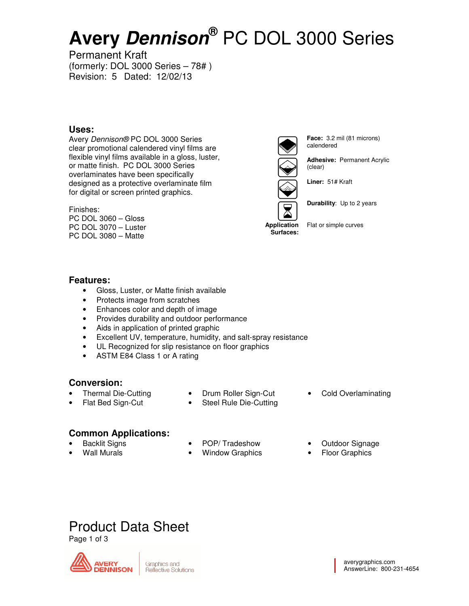# **Avery Dennison®** PC DOL 3000 Series

Permanent Kraft (formerly: DOL 3000 Series – 78# ) Revision: 5 Dated: 12/02/13

## **Uses:**

Avery Dennison® PC DOL 3000 Series clear promotional calendered vinyl films are flexible vinyl films available in a gloss, luster, or matte finish. PC DOL 3000 Series overlaminates have been specifically designed as a protective overlaminate film for digital or screen printed graphics.

### Finishes:

PC DOL 3060 – Gloss PC DOL 3070 – Luster PC DOL 3080 – Matte



**Face:** 3.2 mil (81 microns) calendered

**Adhesive:** Permanent Acrylic (clear)

**Liner:** 51# Kraft



**Durability**: Up to 2 years

**Surfaces:**  Flat or simple curves

### **Features:**

- Gloss, Luster, or Matte finish available
- Protects image from scratches
- Enhances color and depth of image
- Provides durability and outdoor performance
- Aids in application of printed graphic
- Excellent UV, temperature, humidity, and salt-spray resistance
- UL Recognized for slip resistance on floor graphics
- ASTM E84 Class 1 or A rating

# **Conversion:**

- Thermal Die-Cutting
- Flat Bed Sign-Cut
- Drum Roller Sign-Cut
- Steel Rule Die-Cutting

# **Common Applications:**

- Backlit Signs
- Wall Murals
- POP/ Tradeshow
- Window Graphics
- Cold Overlaminating
- Outdoor Signage
- Floor Graphics

# Product Data Sheet

Page 1 of 3



Graphics and Reflective Solutions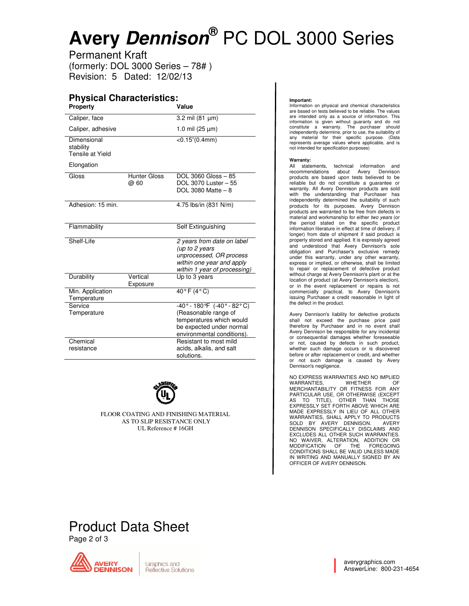# Avery **Dennison**® PC DOL 3000 Series

Permanent Kraft (formerly: DOL 3000 Series 000 Series – 78# ) Revision: 5 Dated: 12/02/13 2/13

#### **Physical Characteristics: Property Value**

| . . opony                                    |                             |                                                                                                                                                          |
|----------------------------------------------|-----------------------------|----------------------------------------------------------------------------------------------------------------------------------------------------------|
| Caliper, face                                |                             | 3.2 mil (81 µm)                                                                                                                                          |
| Caliper, adhesive                            |                             | 1.0 mil $(25 \mu m)$                                                                                                                                     |
| Dimensional<br>stability<br>Tensile at Yield |                             | $<$ 0.15" $(0.4$ mm $)$                                                                                                                                  |
| Elongation                                   |                             |                                                                                                                                                          |
| Gloss                                        | <b>Hunter Gloss</b><br>@ 60 | DOL 3060 Gloss - 85<br>DOL 3070 Luster - 55<br>DOL 3080 Matte $-8$                                                                                       |
| Adhesion: 15 min.                            |                             | 4.75 lbs/in (831 N/m)                                                                                                                                    |
| Flammability                                 |                             | Self Extinguishing                                                                                                                                       |
| Shelf-Life                                   |                             | 2 years from date on label<br>(up to 2 years<br>unprocessed, OR process<br>within one year and apply<br>within 1 year of processing)                     |
| Durability                                   | Vertical<br>Exposure        | Up to 3 years                                                                                                                                            |
| Min. Application<br>Temperature              |                             | $40°$ F $(4°$ C)                                                                                                                                         |
| Service<br>Temperature                       |                             | $-40^{\circ} - 180^{\circ}F$ (-40° - 82°C)<br>(Reasonable range of<br>temperatures which would<br>be expected under normal<br>environmental conditions). |
| Chemical<br>resistance                       |                             | Resistant to most mild<br>acids, alkalis, and salt<br>solutions.                                                                                         |



FLOOR COATING AND FINISHING MATERIAL AS TO SLIP RESISTANCE ONLY UL Reference # 16GH

#### **Important:**

Information on physical and chemical characteristics are based on tests believed to be reliable. The values are intended only as a source of information. This information is given without guaranty and do not constitute a warranty. The purchaser should independently determine, prior to use, the suitability of any material for their specific purpose. (Data represents average values where applicable, and is not intended for specification pur Information on physical and chemical characteris<br>are based on tests believed to be reliable. The va<br>are intended only as a source of information.<br>information is given without guaranty and do<br>constitute a warranty. The purc

#### **Warranty:**

All statements, technical information and recommendations about Avery Dennison products are based upon tests believed to be reliable but do not constitute a guarantee or All statements, technical information and<br>
recommendations about Avery Dennison<br>
products are based upon tests believed to be<br>
reliable but do not constitute a guarantee or<br>
warranty. All Avery Dennison products are sold<br> with the understanding that Purchaser h independently determined the suitability of such products for its purposes. Avery Dennison products for its purposes. Avery Dennison<br>products are warranted to be free from defects in material and workmanship for either two years (or the period stated on the specific product information literature in effect at time of delivery, if longer) stored and applied. It is expressly agreed and understood that Avery Dennison's sole boligation and Purchaser's exc longer) from date of shipment if said product is properly stored and applied. It is expressly agreed and understood that Avery Dennison's sole obligation and Purchaser's exclusive remedy under this warranty, under any other warranty, express or implied, or otherwise, shall be limited express or implied, or otherwise, shall be limited<br>to repair or replacement of defective product<br>without charge at Avery Dennison's plant or at the<br>location of product (at Avery Dennison's election),<br>or in the event replac without charge at Avery Dennison's plant or at the location of product (at Avery Dennison's election), or in the event replacement or repairs is commercially practical, to Avery Dennison's issuing Purchaser a credit reasonable in light of the defect in the product.

Avery Dennison's liability for defective products issuing Purchaser a credit reasonable in light of<br>the defect in the product.<br>Avery Dennison's liability for defective products<br>shall not exceed the purchase price paid<br>therefore by Purchaser and in no event shall Avery Dennison be responsible for any incidental or consequential damages whether foreseeable or not, caused by defects in such product, whether such damage occurs or is discovered before or after replacement or credit, and whether or not such damage is caused by Avery Dennison's negligence.

NO EXPRESS WARRANTIES AND NO IMPLIED WARRANTIES, WHETHER<br>MERCHANTABILITY OR FITNESS FOR ANY<br>PARTICULAR USE, OR OTHERWISE (EXCEPT<br>AS TO TITLE), OTHER THAN THOSE<br>EXPRESSLY SET FORTH ABOVE WHICH ARE MADE EXPRESSLY IN LIEU OF ALL OTHER WARRANTIES, SHALL APPLY TO PRODUCTS<br>SOLD BY AVERY DENNISON. AVERY<br>DENNISON SPECIFICALLY DISCLAIMS AND<br>EXCLUDES ALL OTHER SUCH WARRANTIES. NO WAIVER, ALTERATION, ADDITION OR<br>MODIFICATION OF THE FOREGOING<br>CONDITIONS SHALL BE VALID UNLESS MADE IN WRITING AND MANUALLY SIGNED BY AN WRITING OFFICER OF AVERY DENNISON. Avery Dennison be responsible for any incidental<br>or or consequential damages whether foreseable<br>or not, caused by defects in such product,<br>whether such damage occurs or is discovered<br>Dennison's negligence.<br>NO EXPRESS WARRA

# Product Data Sheet

Page 2 of 3



averygraphics.com AnswerLine: 800 800-231-4654